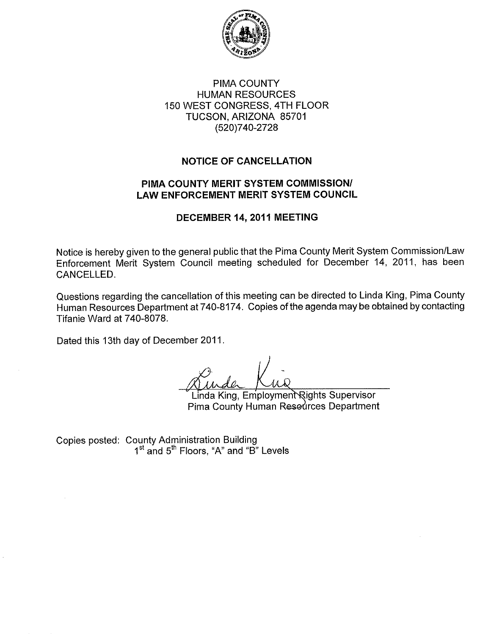

# PIMA COUNTY **HUMAN RESOURCES** 150 WEST CONGRESS, 4TH FLOOR TUCSON, ARIZONA 85701 (520)740-2728

# **NOTICE OF CANCELLATION**

# PIMA COUNTY MERIT SYSTEM COMMISSION/ **LAW ENFORCEMENT MERIT SYSTEM COUNCIL**

#### DECEMBER 14, 2011 MEETING

Notice is hereby given to the general public that the Pima County Merit System Commission/Law Enforcement Merit System Council meeting scheduled for December 14, 2011, has been CANCELLED.

Questions regarding the cancellation of this meeting can be directed to Linda King, Pima County Human Resources Department at 740-8174. Copies of the agenda may be obtained by contacting Tifanie Ward at 740-8078.

Dated this 13th day of December 2011.

Linda King, Employment Rights Supervisor Pima County Human Resedroes Department

Copies posted: County Administration Building<br>1<sup>st</sup> and 5<sup>th</sup> Floors, "A" and "B" Levels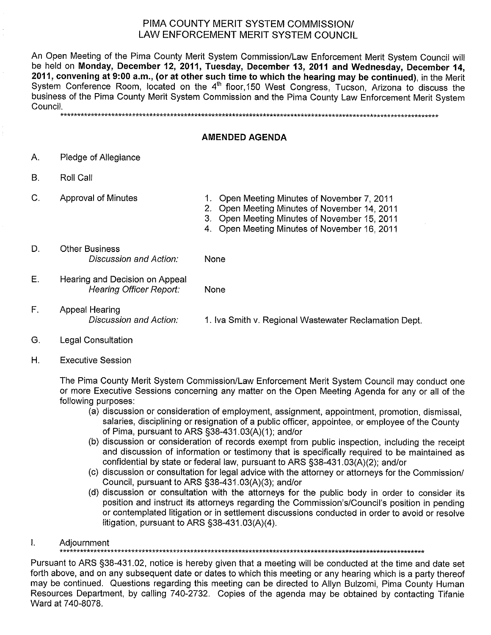#### PIMA COUNTY MERIT SYSTEM COMMISSION/ LAW ENFORCEMENT MERIT SYSTEM COUNCIL

An Open Meeting of the Pima County Merit System Commission/Law Enforcement Merit System Council will be held on Monday, December 12, 2011, Tuesday, December 13, 2011 and Wednesday, December 14, 2011, convening at 9:00 a.m., (or at other such time to which the hearing may be continued), in the Merit System Conference Room, located on the 4<sup>th</sup> floor, 150 West Congress, Tucson, Arizona to discuss the business of the Pima County Merit System Commission and the Pima County Law Enforcement Merit System Council. 

#### **AMENDED AGENDA**

- А. Pledge of Allegiance
- **B. Roll Call**
- C. **Approval of Minutes**
- 1. Open Meeting Minutes of November 7, 2011 2. Open Meeting Minutes of November 14, 2011
- 3. Open Meeting Minutes of November 15, 2011
- 4. Open Meeting Minutes of November 16, 2011
- D. **Other Business** Discussion and Action: **None**
- E. Hearing and Decision on Appeal **Hearing Officer Report:** None
- $F.$ Appeal Hearing Discussion and Action: 1. Iva Smith v. Regional Wastewater Reclamation Dept.
- G. **Legal Consultation**
- $H<sub>1</sub>$ **Executive Session**

The Pima County Merit System Commission/Law Enforcement Merit System Council may conduct one or more Executive Sessions concerning any matter on the Open Meeting Agenda for any or all of the following purposes:

- (a) discussion or consideration of employment, assignment, appointment, promotion, dismissal, salaries, disciplining or resignation of a public officer, appointee, or employee of the County of Pima, pursuant to ARS §38-431.03(A)(1); and/or
- (b) discussion or consideration of records exempt from public inspection, including the receipt and discussion of information or testimony that is specifically required to be maintained as confidential by state or federal law, pursuant to ARS §38-431.03(A)(2); and/or
- (c) discussion or consultation for legal advice with the attorney or attorneys for the Commission/ Council, pursuant to ARS §38-431.03(A)(3); and/or
- (d) discussion or consultation with the attorneys for the public body in order to consider its position and instruct its attorneys regarding the Commission's/Council's position in pending or contemplated litigation or in settlement discussions conducted in order to avoid or resolve litigation, pursuant to ARS §38-431.03(A)(4).
- $\mathbf{L}$ Adjournment

Pursuant to ARS §38-431.02, notice is hereby given that a meeting will be conducted at the time and date set forth above, and on any subsequent date or dates to which this meeting or any hearing which is a party thereof may be continued. Questions regarding this meeting can be directed to Allyn Bulzomi, Pima County Human Resources Department, by calling 740-2732. Copies of the agenda may be obtained by contacting Tifanie Ward at 740-8078.